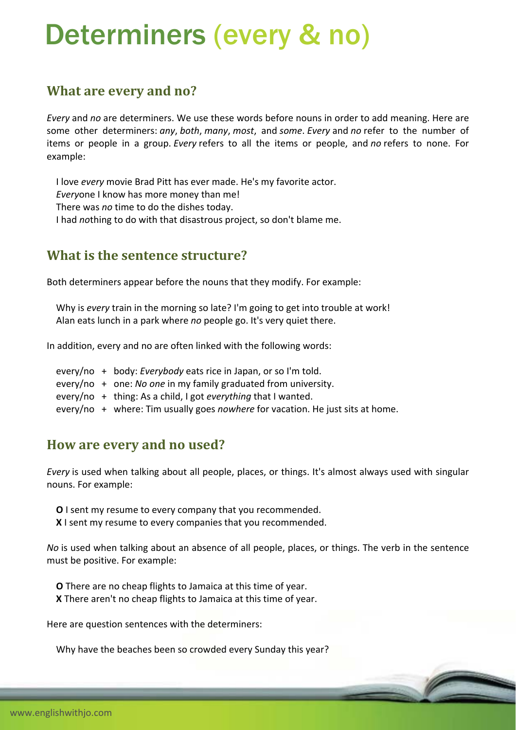# Determiners (every & no)

## **What are every and no?**

*Every* and *no* are determiners. We use these words before nouns in order to add meaning. Here are some other determiners: *any*, *both*, *many*, *most*, and *some*. *Every* and *no* refer to the number of items or people in a group. *Every* refers to all the items or people, and *no* refers to none. For example:

 I love *every* movie Brad Pitt has ever made. He's my favorite actor. *Every*one I know has more money than me! There was *no* time to do the dishes today.

I had *no*thing to do with that disastrous project, so don't blame me.

## **What is the sentence structure?**

Both determiners appear before the nouns that they modify. For example:

 Why is *every* train in the morning so late? I'm going to get into trouble at work! Alan eats lunch in a park where *no* people go. It's very quiet there.

In addition, every and no are often linked with the following words:

- every/no + body: *Everybody* eats rice in Japan, or so I'm told.
- every/no + one: *No one* in my family graduated from university.
- every/no + thing: As a child, I got *everything* that I wanted.
- every/no + where: Tim usually goes *nowhere* for vacation. He just sits at home.

#### **How are every and no used?**

*Every* is used when talking about all people, places, or things. It's almost always used with singular nouns. For example:

- **O** I sent my resume to every company that you recommended.
- **X** I sent my resume to every companies that you recommended.

*No* is used when talking about an absence of all people, places, or things. The verb in the sentence must be positive. For example:

 **O** There are no cheap flights to Jamaica at this time of year. **X** There aren't no cheap flights to Jamaica at this time of year.

Here are question sentences with the determiners:

Why have the beaches been so crowded every Sunday this year?